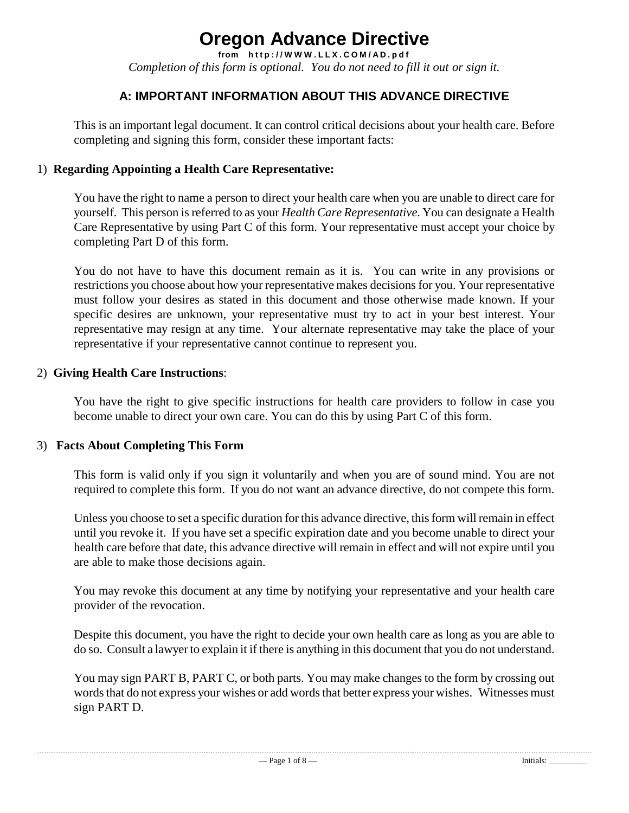# **Oregon Advance Directive**

from http://WWW.LLX.COM/AD.pdf *Completion of this form is optional. You do not need to fill it out or sign it.*

## **A: IMPORTANT INFORMATION ABOUT THIS ADVANCE DIRECTIVE**

This is an important legal document. It can control critical decisions about your health care. Before completing and signing this form, consider these important facts:

#### 1) **Regarding Appointing a Health Care Representative:**

You have the right to name a person to direct your health care when you are unable to direct care for yourself. This person is referred to as your *Health Care Representative*. You can designate a Health Care Representative by using Part C of this form. Your representative must accept your choice by completing Part D of this form.

You do not have to have this document remain as it is. You can write in any provisions or restrictions you choose about how your representative makes decisions for you. Your representative must follow your desires as stated in this document and those otherwise made known. If your specific desires are unknown, your representative must try to act in your best interest. Your representative may resign at any time. Your alternate representative may take the place of your representative if your representative cannot continue to represent you.

#### 2) **Giving Health Care Instructions**:

You have the right to give specific instructions for health care providers to follow in case you become unable to direct your own care. You can do this by using Part C of this form.

#### 3) **Facts About Completing This Form**

l,

This form is valid only if you sign it voluntarily and when you are of sound mind. You are not required to complete this form. If you do not want an advance directive, do not compete this form.

Unless you choose to set a specific duration for this advance directive, this form will remain in effect until you revoke it. If you have set a specific expiration date and you become unable to direct your health care before that date, this advance directive will remain in effect and will not expire until you are able to make those decisions again.

You may revoke this document at any time by notifying your representative and your health care provider of the revocation.

Despite this document, you have the right to decide your own health care as long as you are able to do so. Consult a lawyer to explain it if there is anything in this document that you do not understand.

You may sign PART B, PART C, or both parts. You may make changes to the form by crossing out words that do not express your wishes or add words that better express your wishes. Witnesses must sign PART D.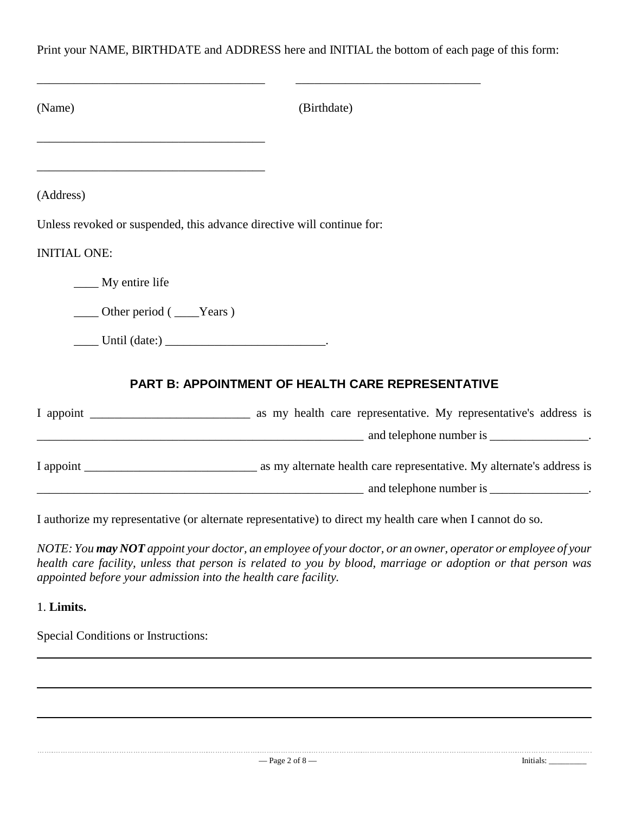Print your NAME, BIRTHDATE and ADDRESS here and INITIAL the bottom of each page of this form:

| (Name)                                                                                                                                                                                                                                                                                                                                                                                                                                                         | (Birthdate)                                              |
|----------------------------------------------------------------------------------------------------------------------------------------------------------------------------------------------------------------------------------------------------------------------------------------------------------------------------------------------------------------------------------------------------------------------------------------------------------------|----------------------------------------------------------|
| the control of the control of the control of the control of the control of the control of the control of the control of the control of the control of the control of the control of the control of the control of the control<br>the control of the control of the control of the control of the control of the control of the control of the control of the control of the control of the control of the control of the control of the control of the control |                                                          |
| (Address)                                                                                                                                                                                                                                                                                                                                                                                                                                                      |                                                          |
| Unless revoked or suspended, this advance directive will continue for:                                                                                                                                                                                                                                                                                                                                                                                         |                                                          |
| <b>INITIAL ONE:</b>                                                                                                                                                                                                                                                                                                                                                                                                                                            |                                                          |
| My entire life                                                                                                                                                                                                                                                                                                                                                                                                                                                 |                                                          |
| $\frac{1}{2}$ Other period ( $\frac{1}{2}$ Years)                                                                                                                                                                                                                                                                                                                                                                                                              |                                                          |
|                                                                                                                                                                                                                                                                                                                                                                                                                                                                |                                                          |
|                                                                                                                                                                                                                                                                                                                                                                                                                                                                | <b>PART B: APPOINTMENT OF HEALTH CARE REPRESENTATIVE</b> |
|                                                                                                                                                                                                                                                                                                                                                                                                                                                                |                                                          |
|                                                                                                                                                                                                                                                                                                                                                                                                                                                                |                                                          |
|                                                                                                                                                                                                                                                                                                                                                                                                                                                                |                                                          |
|                                                                                                                                                                                                                                                                                                                                                                                                                                                                | and telephone number is                                  |

I authorize my representative (or alternate representative) to direct my health care when I cannot do so.

NOTE: You may NOT appoint your doctor, an employee of your doctor, or an owner, operator or employee of your *health care facility, unless that person is related to you by blood, marriage or adoption or that person was appointed before your admission into the health care facility.*

1. **Limits.**

Special Conditions or Instructions: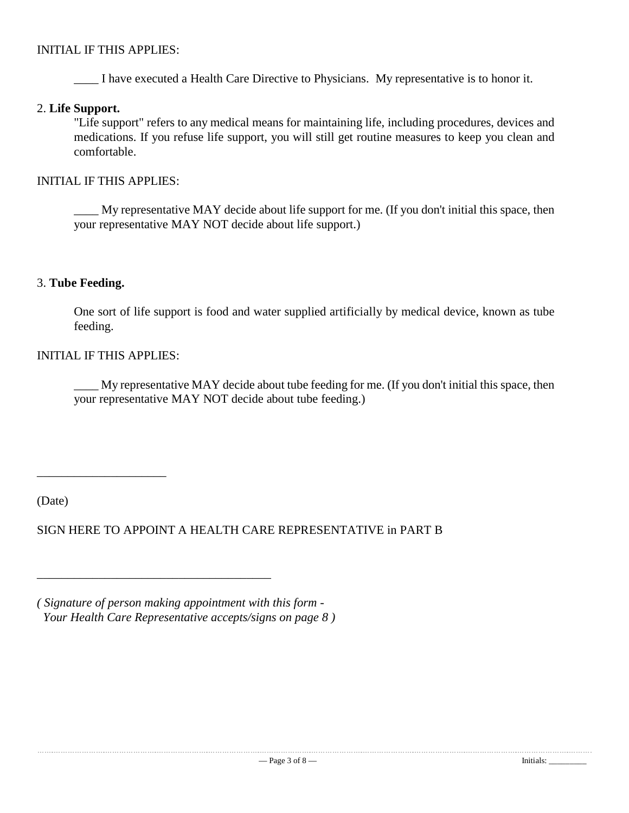#### INITIAL IF THIS APPLIES:

\_\_\_\_ I have executed a Health Care Directive to Physicians. My representative is to honor it.

#### 2. **Life Support.**

"Life support" refers to any medical means for maintaining life, including procedures, devices and medications. If you refuse life support, you will still get routine measures to keep you clean and comfortable.

INITIAL IF THIS APPLIES:

My representative MAY decide about life support for me. (If you don't initial this space, then your representative MAY NOT decide about life support.)

#### 3. **Tube Feeding.**

One sort of life support is food and water supplied artificially by medical device, known as tube feeding.

#### INITIAL IF THIS APPLIES:

\_\_\_\_\_\_\_\_\_\_\_\_\_\_\_\_\_\_\_\_\_

\_\_\_\_ My representative MAY decide about tube feeding for me. (If you don't initial this space, then your representative MAY NOT decide about tube feeding.)

(Date)

SIGN HERE TO APPOINT A HEALTH CARE REPRESENTATIVE in PART B

*( Signature of person making appointment with this form - Your Health Care Representative accepts/signs on page 8 )*

\_\_\_\_\_\_\_\_\_\_\_\_\_\_\_\_\_\_\_\_\_\_\_\_\_\_\_\_\_\_\_\_\_\_\_\_\_\_

l,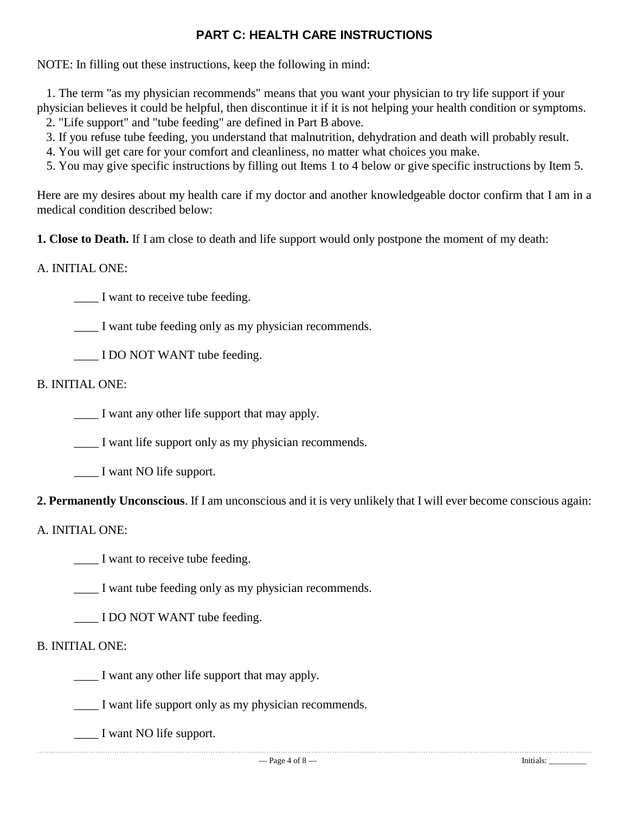# **PART C: HEALTH CARE INSTRUCTIONS**

NOTE: In filling out these instructions, keep the following in mind:

 1. The term "as my physician recommends" means that you want your physician to try life support if your physician believes it could be helpful, then discontinue it if it is not helping your health condition or symptoms.

2. "Life support" and "tube feeding" are defined in Part B above.

3. If you refuse tube feeding, you understand that malnutrition, dehydration and death will probably result.

4. You will get care for your comfort and cleanliness, no matter what choices you make.

5. You may give specific instructions by filling out Items 1 to 4 below or give specific instructions by Item 5.

Here are my desires about my health care if my doctor and another knowledgeable doctor confirm that I am in a medical condition described below:

**1. Close to Death.** If I am close to death and life support would only postpone the moment of my death:

#### A. INITIAL ONE:

I want to receive tube feeding.

\_\_\_\_ I want tube feeding only as my physician recommends.

\_\_\_\_ I DO NOT WANT tube feeding.

B. INITIAL ONE:

I want any other life support that may apply.

I want life support only as my physician recommends.

\_\_\_\_ I want NO life support.

**2. Permanently Unconscious**. If I am unconscious and it is very unlikely that I will ever become conscious again:

#### A. INITIAL ONE:

\_\_\_\_ I want to receive tube feeding.

I want tube feeding only as my physician recommends.

I DO NOT WANT tube feeding.

#### B. INITIAL ONE:

\_\_\_\_ I want any other life support that may apply.

\_\_\_\_ I want life support only as my physician recommends.

 \_\_\_\_ I want NO life support.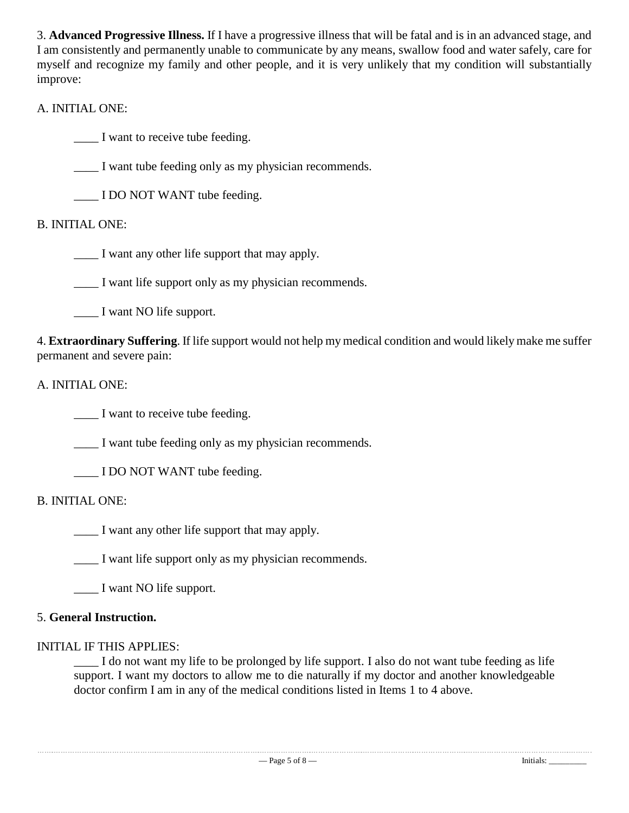3. **Advanced Progressive Illness.** If I have a progressive illness that will be fatal and is in an advanced stage, and I am consistently and permanently unable to communicate by any means, swallow food and water safely, care for myself and recognize my family and other people, and it is very unlikely that my condition will substantially improve:

# A. INITIAL ONE:

\_\_\_\_ I want to receive tube feeding.

\_\_\_\_ I want tube feeding only as my physician recommends.

\_\_\_\_ I DO NOT WANT tube feeding.

# B. INITIAL ONE:

\_\_\_\_ I want any other life support that may apply.

\_\_\_\_ I want life support only as my physician recommends.

\_\_\_\_ I want NO life support.

4. **Extraordinary Suffering**. If life support would not help my medical condition and would likely make me suffer permanent and severe pain:

## A. INITIAL ONE:

\_\_\_\_ I want to receive tube feeding.

I want tube feeding only as my physician recommends.

\_\_\_\_ I DO NOT WANT tube feeding.

## B. INITIAL ONE:

\_\_\_\_ I want any other life support that may apply.

l,

\_\_\_\_ I want life support only as my physician recommends.

\_\_\_\_ I want NO life support.

## 5. **General Instruction.**

## INITIAL IF THIS APPLIES:

I do not want my life to be prolonged by life support. I also do not want tube feeding as life support. I want my doctors to allow me to die naturally if my doctor and another knowledgeable doctor confirm I am in any of the medical conditions listed in Items 1 to 4 above.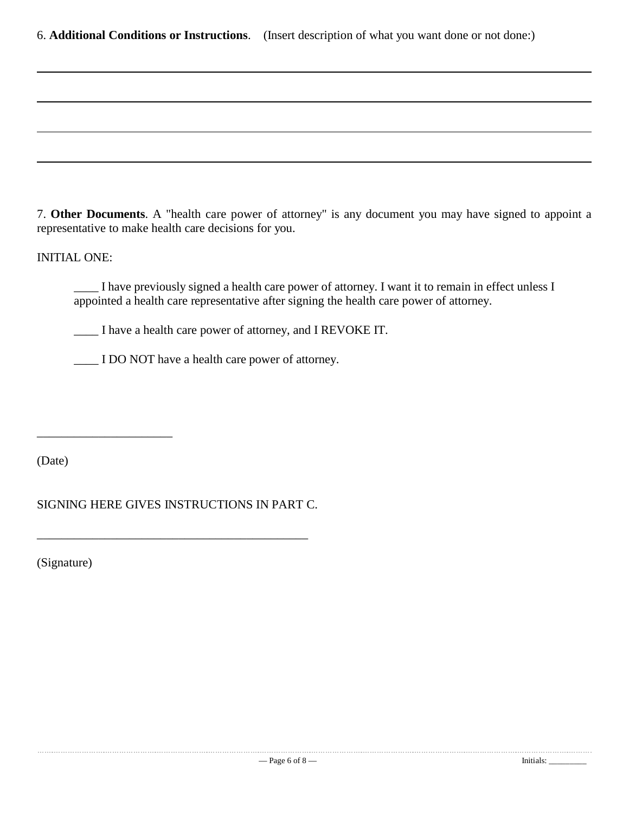6. **Additional Conditions or Instructions**. (Insert description of what you want done or not done:)

7. **Other Documents**. A "health care power of attorney" is any document you may have signed to appoint a representative to make health care decisions for you.

#### INITIAL ONE:

\_\_\_\_ I have previously signed a health care power of attorney. I want it to remain in effect unless I appointed a health care representative after signing the health care power of attorney.

\_\_\_\_ I have a health care power of attorney, and I REVOKE IT.

\_\_\_\_ I DO NOT have a health care power of attorney.

(Date)

\_\_\_\_\_\_\_\_\_\_\_\_\_\_\_\_\_\_\_\_\_\_

SIGNING HERE GIVES INSTRUCTIONS IN PART C.

\_\_\_\_\_\_\_\_\_\_\_\_\_\_\_\_\_\_\_\_\_\_\_\_\_\_\_\_\_\_\_\_\_\_\_\_\_\_\_\_\_\_\_\_

(Signature)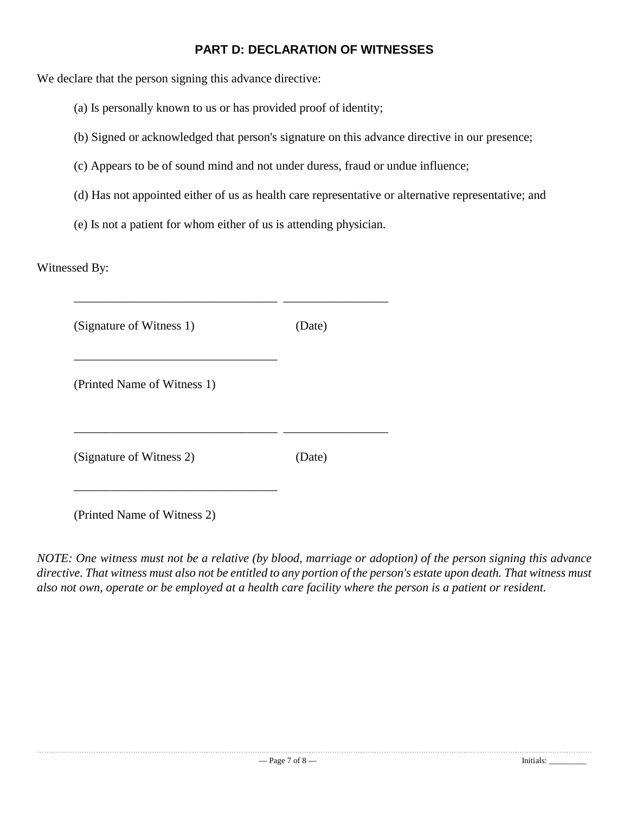## **PART D: DECLARATION OF WITNESSES**

We declare that the person signing this advance directive:

- (a) Is personally known to us or has provided proof of identity;
- (b) Signed or acknowledged that person's signature on this advance directive in our presence;
- (c) Appears to be of sound mind and not under duress, fraud or undue influence;
- (d) Has not appointed either of us as health care representative or alternative representative; and
- (e) Is not a patient for whom either of us is attending physician.

Witnessed By:

| (Date) |
|--------|
|        |
| (Date) |
|        |

(Printed Name of Witness 2)

*NOTE: One witness must not be a relative (by blood, marriage or adoption) of the person signing this advance* directive. That witness must also not be entitled to any portion of the person's estate upon death. That witness must *also not own, operate or be employed at a health care facility where the person is a patient or resident.*